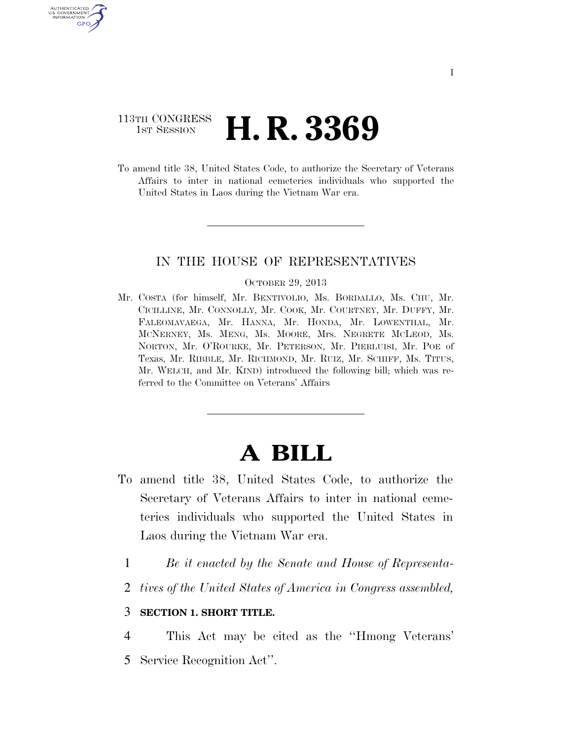## 113TH CONGRESS **1ST SESSION <b>H. R. 3369**

U.S. GOVERNMENT GPO

> To amend title 38, United States Code, to authorize the Secretary of Veterans Affairs to inter in national cemeteries individuals who supported the United States in Laos during the Vietnam War era.

## IN THE HOUSE OF REPRESENTATIVES

#### OCTOBER 29, 2013

Mr. COSTA (for himself, Mr. BENTIVOLIO, Ms. BORDALLO, Ms. CHU, Mr. CICILLINE, Mr. CONNOLLY, Mr. COOK, Mr. COURTNEY, Mr. DUFFY, Mr. FALEOMAVAEGA, Mr. HANNA, Mr. HONDA, Mr. LOWENTHAL, Mr. MCNERNEY, Ms. MENG, Ms. MOORE, Mrs. NEGRETE MCLEOD, Ms. NORTON, Mr. O'ROURKE, Mr. PETERSON, Mr. PIERLUISI, Mr. POE of Texas, Mr. RIBBLE, Mr. RICHMOND, Mr. RUIZ, Mr. SCHIFF, Ms. TITUS, Mr. WELCH, and Mr. KIND) introduced the following bill; which was referred to the Committee on Veterans' Affairs

# **A BILL**

- To amend title 38, United States Code, to authorize the Secretary of Veterans Affairs to inter in national cemeteries individuals who supported the United States in Laos during the Vietnam War era.
	- 1 *Be it enacted by the Senate and House of Representa-*
	- 2 *tives of the United States of America in Congress assembled,*

### 3 **SECTION 1. SHORT TITLE.**

4 This Act may be cited as the ''Hmong Veterans'

5 Service Recognition Act''.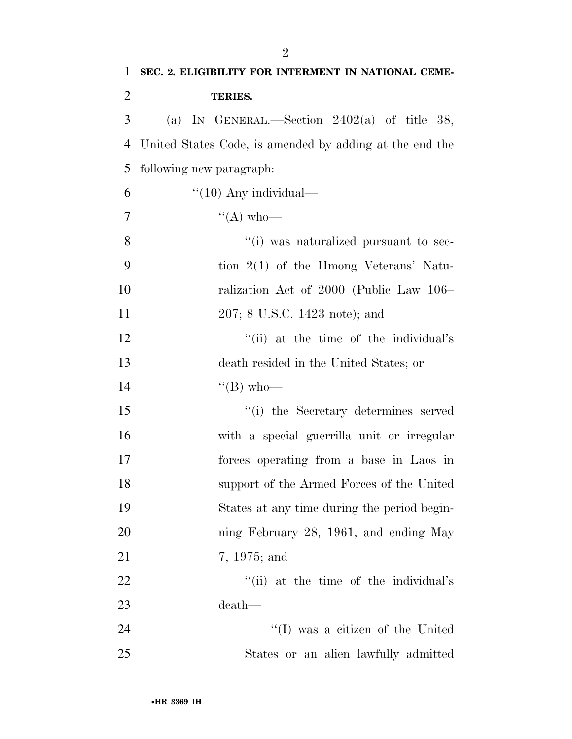| $\mathbf{1}$   | SEC. 2. ELIGIBILITY FOR INTERMENT IN NATIONAL CEME-     |
|----------------|---------------------------------------------------------|
| $\overline{2}$ | <b>TERIES.</b>                                          |
| 3              | (a) IN GENERAL.—Section $2402(a)$ of title 38,          |
| $\overline{4}$ | United States Code, is amended by adding at the end the |
| 5              | following new paragraph:                                |
| 6              | $"(10)$ Any individual—                                 |
| $\tau$         | $\lq\lq (A)$ who—                                       |
| 8              | "(i) was naturalized pursuant to sec-                   |
| 9              | tion $2(1)$ of the Hmong Veterans' Natu-                |
| 10             | ralization Act of 2000 (Public Law 106–                 |
| 11             | 207; 8 U.S.C. 1423 note); and                           |
| 12             | "(ii) at the time of the individual's                   |
| 13             | death resided in the United States; or                  |
| 14             | $\lq\lq (B)$ who—                                       |
| 15             | "(i) the Secretary determines served                    |
| 16             | with a special guerrilla unit or irregular              |
| 17             | forces operating from a base in Laos in                 |
| 18             | support of the Armed Forces of the United               |
| 19             | States at any time during the period begin-             |
| 20             | ning February 28, 1961, and ending May                  |
| 21             | 7, 1975; and                                            |
| 22             | "(ii) at the time of the individual's                   |
| 23             | death—                                                  |
| 24             | $\lq\lq$ was a citizen of the United                    |
| 25             | States or an alien lawfully admitted                    |